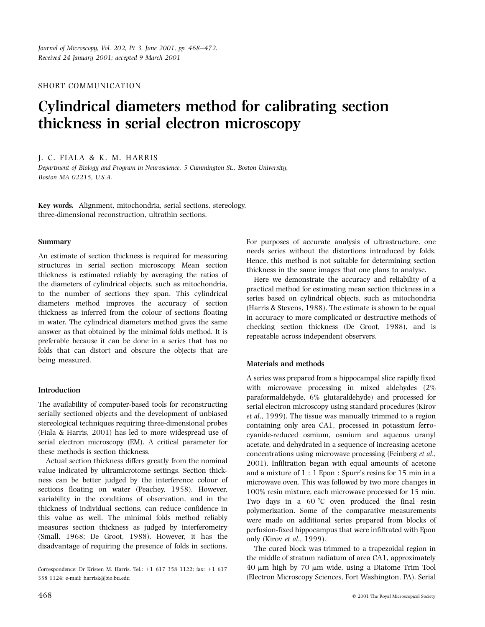SHORT COMMUNICATION

# Cylindrical diameters method for calibrating section thickness in serial electron microscopy

J. C. FIALA & K. M. HARRIS

Department of Biology and Program in Neuroscience, 5 Cummington St., Boston University, Boston MA 02215, U.S.A.

Key words. Alignment, mitochondria, serial sections, stereology, three-dimensional reconstruction, ultrathin sections.

## Summary

An estimate of section thickness is required for measuring structures in serial section microscopy. Mean section thickness is estimated reliably by averaging the ratios of the diameters of cylindrical objects, such as mitochondria, to the number of sections they span. This cylindrical diameters method improves the accuracy of section thickness as inferred from the colour of sections floating in water. The cylindrical diameters method gives the same answer as that obtained by the minimal folds method. It is preferable because it can be done in a series that has no folds that can distort and obscure the objects that are being measured.

# Introduction

The availability of computer-based tools for reconstructing serially sectioned objects and the development of unbiased stereological techniques requiring three-dimensional probes (Fiala & Harris, 2001) has led to more widespread use of serial electron microscopy (EM). A critical parameter for these methods is section thickness.

Actual section thickness differs greatly from the nominal value indicated by ultramicrotome settings. Section thickness can be better judged by the interference colour of sections floating on water (Peachey, 1958). However, variability in the conditions of observation, and in the thickness of individual sections, can reduce confidence in this value as well. The minimal folds method reliably measures section thickness as judged by interferometry (Small, 1968; De Groot, 1988). However, it has the disadvantage of requiring the presence of folds in sections.

Correspondence: Dr Kristen M. Harris. Tel.: +1 617 358 1122; fax: +1 617 358 1124; e-mail: harrisk@bio.bu.edu

Here we demonstrate the accuracy and reliability of a practical method for estimating mean section thickness in a series based on cylindrical objects, such as mitochondria (Harris & Stevens, 1988). The estimate is shown to be equal in accuracy to more complicated or destructive methods of

repeatable across independent observers.

For purposes of accurate analysis of ultrastructure, one needs series without the distortions introduced by folds.

Hence, this method is not suitable for determining section

checking section thickness (De Groot, 1988), and is

thickness in the same images that one plans to analyse.

## Materials and methods

A series was prepared from a hippocampal slice rapidly fixed with microwave processing in mixed aldehydes (2% paraformaldehyde, 6% glutaraldehyde) and processed for serial electron microscopy using standard procedures (Kirov *et al.*, 1999). The tissue was manually trimmed to a region containing only area CA1, processed in potassium ferrocyanide-reduced osmium, osmium and aqueous uranyl acetate, and dehydrated in a sequence of increasing acetone concentrations using microwave processing (Feinberg et al., 2001). Infiltration began with equal amounts of acetone and a mixture of 1:1 Epon: Spurr's resins for 15 min in a microwave oven. This was followed by two more changes in 100% resin mixture, each microwave processed for 15 min. Two days in a  $60^{\circ}$ C oven produced the final resin polymerization. Some of the comparative measurements were made on additional series prepared from blocks of perfusion-fixed hippocampus that were infiltrated with Epon only (Kirov et al., 1999).

The cured block was trimmed to a trapezoidal region in the middle of stratum radiatum of area CA1, approximately 40  $\mu$ m high by 70  $\mu$ m wide, using a Diatome Trim Tool (Electron Microscopy Sciences, Fort Washington, PA). Serial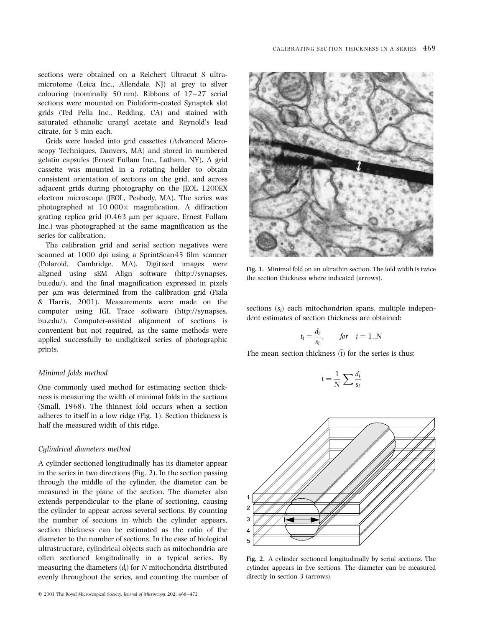sections were obtained on a Reichert Ultracut S ultramicrotome (Leica Inc., Allendale, NJ) at grey to silver colouring (nominally 50 nm). Ribbons of  $17-27$  serial sections were mounted on Pioloform-coated Synaptek slot grids (Ted Pella Inc., Redding, CA) and stained with saturated ethanolic uranyl acetate and Reynold's lead citrate, for 5 min each.

Grids were loaded into grid cassettes (Advanced Microscopy Techniques, Danvers, MA) and stored in numbered gelatin capsules (Ernest Fullam Inc., Latham, NY). A grid cassette was mounted in a rotating holder to obtain consistent orientation of sections on the grid, and across adjacent grids during photography on the JEOL 1200EX electron microscope (JEOL, Peabody, MA). The series was photographed at  $10\,000\times$  magnification. A diffraction grating replica grid  $(0.463 \mu m)$  per square, Ernest Fullam Inc.) was photographed at the same magnification as the series for calibration.

The calibration grid and serial section negatives were scanned at 1000 dpi using a SprintScan45 film scanner (Polaroid, Cambridge, MA). Digitized images were aligned using sEM Align software (http://synapses. bu.edu/), and the final magnification expressed in pixels per µm was determined from the calibration grid (Fiala & Harris, 2001). Measurements were made on the computer using IGL Trace software (http://synapses. bu.edu/). Computer-assisted alignment of sections is convenient but not required, as the same methods were applied successfully to undigitized series of photographic prints.

### Minimal folds method

One commonly used method for estimating section thickness is measuring the width of minimal folds in the sections (Small, 1968). The thinnest fold occurs when a section adheres to itself in a low ridge (Fig. 1). Section thickness is half the measured width of this ridge.

### Cylindrical diameters method

A cylinder sectioned longitudinally has its diameter appear in the series in two directions (Fig. 2). In the section passing through the middle of the cylinder, the diameter can be measured in the plane of the section. The diameter also extends perpendicular to the plane of sectioning, causing the cylinder to appear across several sections. By counting the number of sections in which the cylinder appears, section thickness can be estimated as the ratio of the diameter to the number of sections. In the case of biological ultrastructure, cylindrical objects such as mitochondria are often sectioned longitudinally in a typical series. By measuring the diameters  $(d_i)$  for N mitochondria distributed evenly throughout the series, and counting the number of



Fig. 1. Minimal fold on an ultrathin section. The fold width is twice the section thickness where indicated (arrows).

sections  $(s_i)$  each mitochondrion spans, multiple independent estimates of section thickness are obtained:

$$
t_i = \frac{d_i}{s_i}, \qquad \text{for} \quad i = 1..N
$$

The mean section thickness  $(t)$  for the series is thus:

$$
\overline{t} = \frac{1}{N} \sum \frac{d_i}{s_i}
$$



Fig. 2. A cylinder sectioned longitudinally by serial sections. The cylinder appears in five sections. The diameter can be measured directly in section 3 (arrows).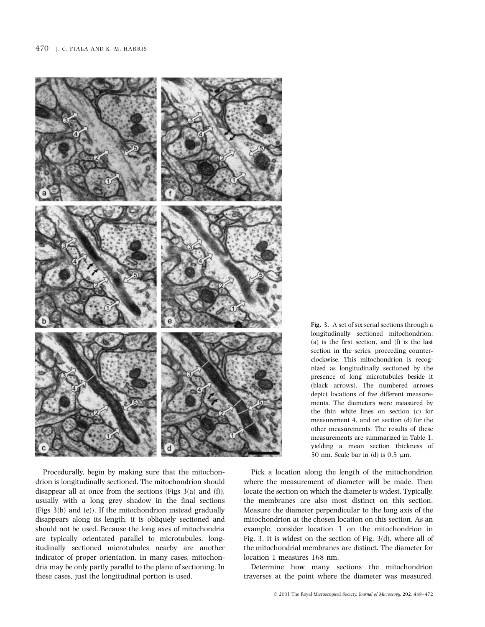

Procedurally, begin by making sure that the mitochondrion is longitudinally sectioned. The mitochondrion should disappear all at once from the sections (Figs  $3(a)$  and (f)), usually with a long grey shadow in the final sections (Figs 3(b) and (e)). If the mitochondrion instead gradually disappears along its length, it is obliquely sectioned and should not be used. Because the long axes of mitochondria are typically orientated parallel to microtubules, longitudinally sectioned microtubules nearby are another indicator of proper orientation. In many cases, mitochondria may be only partly parallel to the plane of sectioning. In these cases, just the longitudinal portion is used.

Fig. 3. A set of six serial sections through a longitudinally sectioned mitochondrion: (a) is the first section, and  $(f)$  is the last section in the series, proceeding counterclockwise. This mitochondrion is recognized as longitudinally sectioned by the presence of long microtubules beside it (black arrows). The numbered arrows depict locations of five different measurements. The diameters were measured by the thin white lines on section (c) for measurement 4, and on section (d) for the other measurements. The results of these measurements are summarized in Table 1. yielding a mean section thickness of 50 nm. Scale bar in (d) is  $0.5 \mu m$ .

Pick a location along the length of the mitochondrion where the measurement of diameter will be made. Then locate the section on which the diameter is widest. Typically, the membranes are also most distinct on this section. Measure the diameter perpendicular to the long axis of the mitochondrion at the chosen location on this section. As an example, consider location 1 on the mitochondrion in Fig. 3. It is widest on the section of Fig.  $3(d)$ , where all of the mitochondrial membranes are distinct. The diameter for location 1 measures 168 nm.

Determine how many sections the mitochondrion traverses at the point where the diameter was measured.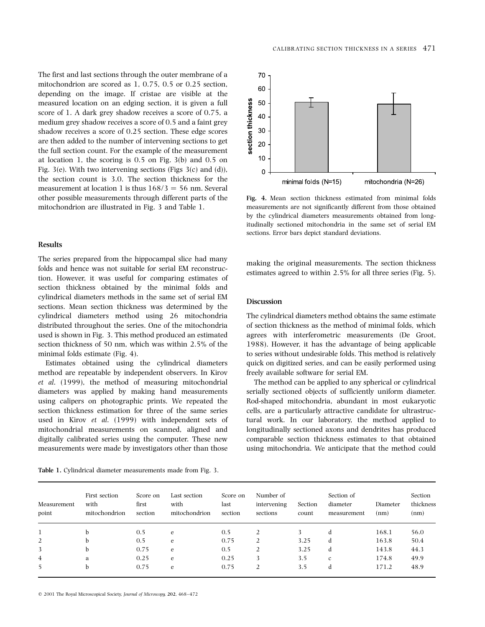The first and last sections through the outer membrane of a mitochondrion are scored as  $1, 0.75, 0.5$  or  $0.25$  section. depending on the image. If cristae are visible at the measured location on an edging section, it is given a full score of 1. A dark grey shadow receives a score of 0.75, a medium grey shadow receives a score of 0.5 and a faint grey shadow receives a score of 0.25 section. These edge scores are then added to the number of intervening sections to get the full section count. For the example of the measurement at location 1, the scoring is  $0.5$  on Fig.  $3(b)$  and  $0.5$  on Fig. 3(e). With two intervening sections (Figs  $3(c)$  and (d)), the section count is 3.0. The section thickness for the measurement at location 1 is thus  $168/3 = 56$  nm. Several other possible measurements through different parts of the mitochondrion are illustrated in Fig. 3 and Table 1.

### **Results**

The series prepared from the hippocampal slice had many folds and hence was not suitable for serial EM reconstruction. However, it was useful for comparing estimates of section thickness obtained by the minimal folds and cylindrical diameters methods in the same set of serial EM sections. Mean section thickness was determined by the cylindrical diameters method using 26 mitochondria distributed throughout the series. One of the mitochondria used is shown in Fig. 3. This method produced an estimated section thickness of 50 nm, which was within 2.5% of the minimal folds estimate (Fig. 4).

Estimates obtained using the cylindrical diameters method are repeatable by independent observers. In Kirov et al. (1999), the method of measuring mitochondrial diameters was applied by making hand measurements using calipers on photographic prints. We repeated the section thickness estimation for three of the same series used in Kirov et al. (1999) with independent sets of mitochondrial measurements on scanned, aligned and digitally calibrated series using the computer. These new measurements were made by investigators other than those

Table 1. Cylindrical diameter measurements made from Fig. 3.



Fig. 4. Mean section thickness estimated from minimal folds measurements are not significantly different from those obtained by the cylindrical diameters measurements obtained from longitudinally sectioned mitochondria in the same set of serial EM sections. Error bars depict standard deviations.

making the original measurements. The section thickness estimates agreed to within 2.5% for all three series (Fig. 5).

## **Discussion**

The cylindrical diameters method obtains the same estimate of section thickness as the method of minimal folds, which agrees with interferometric measurements (De Groot, 1988). However, it has the advantage of being applicable to series without undesirable folds. This method is relatively quick on digitized series, and can be easily performed using freely available software for serial EM.

The method can be applied to any spherical or cylindrical serially sectioned objects of sufficiently uniform diameter. Rod-shaped mitochondria, abundant in most eukaryotic cells, are a particularly attractive candidate for ultrastructural work. In our laboratory, the method applied to longitudinally sectioned axons and dendrites has produced comparable section thickness estimates to that obtained using mitochondria. We anticipate that the method could

| Measurement<br>point | First section<br>with<br>mitochondrion | Score on<br>first<br>section | Last section<br>with<br>mitochondrion | Score on<br>last<br>section | Number of<br>intervening<br>sections | Section<br>count | Section of<br>diameter<br>measurement | Diameter<br>(nm) | Section<br>thickness<br>(nm) |
|----------------------|----------------------------------------|------------------------------|---------------------------------------|-----------------------------|--------------------------------------|------------------|---------------------------------------|------------------|------------------------------|
|                      | <sub>b</sub>                           | 0.5                          | e                                     | 0.5                         | 2                                    |                  | d                                     | 168.1            | 56.0                         |
| 2                    |                                        | 0.5                          | e                                     | 0.75                        | 2                                    | 3.25             | d                                     | 163.8            | 50.4                         |
|                      |                                        | 0.75                         | e                                     | 0.5                         | 2                                    | 3.25             | d                                     | 143.8            | 44.3                         |
| 4                    | a                                      | 0.25                         | e                                     | 0.25                        | 3                                    | 3.5              | $\mathbf{c}$                          | 174.8            | 49.9                         |
| 5                    |                                        | 0.75                         | e                                     | 0.75                        | 2                                    | 3.5              | d                                     | 171.2            | 48.9                         |

© 2001 The Royal Microscopical Society, Journal of Microscopy, 202, 468-472